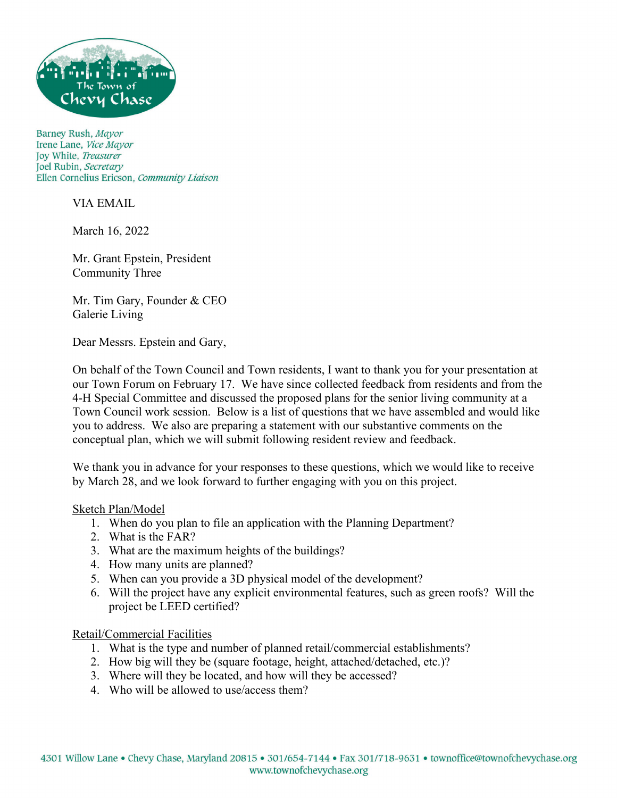

Barney Rush, Mayor Irene Lane, Vice Mayor Joy White, Treasurer Joel Rubin, Secretary Ellen Cornelius Ericson, Community Liaison

VIA EMAIL

March 16, 2022

Mr. Grant Epstein, President Community Three

Mr. Tim Gary, Founder & CEO Galerie Living

Dear Messrs. Epstein and Gary,

On behalf of the Town Council and Town residents, I want to thank you for your presentation at our Town Forum on February 17. We have since collected feedback from residents and from the 4-H Special Committee and discussed the proposed plans for the senior living community at a Town Council work session. Below is a list of questions that we have assembled and would like you to address. We also are preparing a statement with our substantive comments on the conceptual plan, which we will submit following resident review and feedback.

We thank you in advance for your responses to these questions, which we would like to receive by March 28, and we look forward to further engaging with you on this project.

## Sketch Plan/Model

- 1. When do you plan to file an application with the Planning Department?
- 2. What is the FAR?
- 3. What are the maximum heights of the buildings?
- 4. How many units are planned?
- 5. When can you provide a 3D physical model of the development?
- 6. Will the project have any explicit environmental features, such as green roofs? Will the project be LEED certified?

Retail/Commercial Facilities

- 1. What is the type and number of planned retail/commercial establishments?
- 2. How big will they be (square footage, height, attached/detached, etc.)?
- 3. Where will they be located, and how will they be accessed?
- 4. Who will be allowed to use/access them?